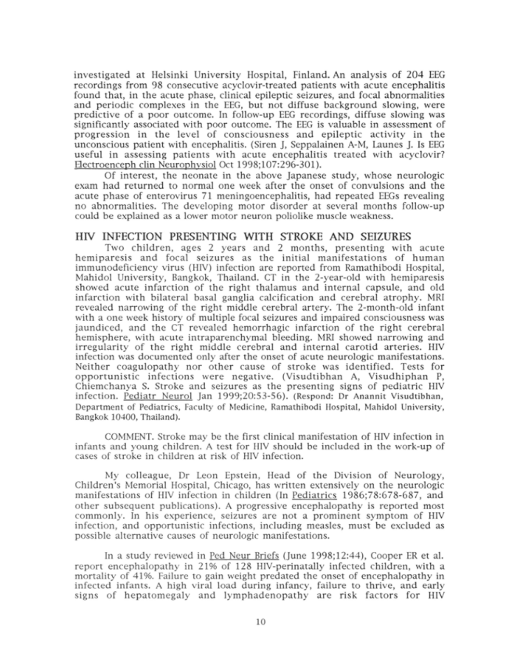investigated at Helsinki University Hospital, Finland. An analysis of 204 EEG recordings from 98 consecutive acyclovir-treated patients with acute encephalitis found that, in the acute phase, clinical epileptic seizures, and focal abnormalities and periodic complexes in the EEG, but not diffuse background slowing, were predictive of a poor outcome. In follow-up EEG recordings, diffuse slowing was significantly associated with poor outcome. The EEG is valuable in assessment of progression in the level of consciousness and epileptic activity in the unconscious patient with encephalitis. (Siren J, Seppalainen A-M, Launes J. Is EEG useful in assessing patients with acute encephalitis treated with acyclovir? Electroenceph clin Neurophvsiol Oct 1998;107:296-301).

Of interest, the neonate in the above Japanese study, whose neurologic exam had returned to normal one week after the onset of convulsions and the acute phase of enterovirus 71 meningoencephalitis, had repeated EEGs revealing no abnormalities. The developing motor disorder at several months follow-up could be explained as <sup>a</sup> lower motor neuron poliolike muscle weakness.

## HIV INFECTION PRESENTING WITH STROKE AND SEIZURES

Two children, ages <sup>2</sup> years and <sup>2</sup> months, presenting with acute hemiparesis and focal seizures as the initial manifestations of human immunodeficiency virus (HIV) infection are reported from Ramathibodi Hospital, Mahidol University, Bangkok, Thailand. CT in the 2-year-old with hemiparesis showed acute infarction of the right thalamus and internal capsule, and old infarction with bilateral basal ganglia calcification and cerebral atrophy. MRI revealed narrowing of the right middle cerebral artery. The 2-month-old infant with <sup>a</sup> one week history of multiple focal seizures and impaired consciousness was jaundiced, and the CT revealed hemorrhagic infarction of the right cerebral hemisphere, with acute intraparenchymal bleeding. MRI showed narrowing and irregularity of the right middle cerebral and internal carotid arteries. HIV infection was documented only after the onset of acute neurologic manifestations. Neither coagulopathy nor other cause of stroke was identified. Tests for opportunistic infections were negative. (Visudtibhan A, Visudhiphan P, Chiemchanya S. Stroke and seizures as the presenting signs of pediatric HIV infection. Pediatr Neurol Jan 1999;20:53-56). (Respond: Dr Anannit Visudtibhan, Department of Pediatrics, Faculty of Medicine, Ramathibodi Hospital, Mahidol University, Bangkok 10400, Thailand).

COMMENT. Stroke may be the first clinical manifestation of HIV infection in infants and young children. A test for HIV should be included in the work-up of cases of stroke in children at risk of HIV infection.

My colleague, Dr Leon Epstein, Head of the Division of Neurology, Children's Memorial Hospital, Chicago, has written extensively on the neurologic manifestations of HIV infection in children (In Pediatrics 1986;78:678-687, and other subsequent publications). A progressive encephalopathy is reported most commonly. In his experience, seizures are not a prominent symptom of HIV infection, and opportunistic infections, including measles, must be excluded as possible alternative causes of neurologic manifestations.

In a study reviewed in Ped Neur Briefs (June 1998; 12:44), Cooper ER et al. report encephalopathy in 21% of 128 HIV-perinatally infected children, with a mortality of 41%. Failure to gain weight predated the onset of encephalopathy in infected infants. A high viral load during infancy, failure to thrive, and early signs of hepatomegaly and lymphadenopathy are risk factors for HIV